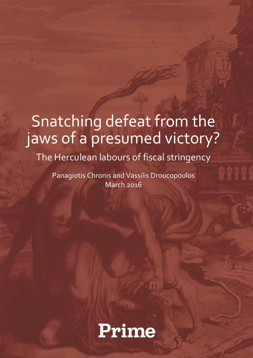# Snatching defeat from the jaws of a presumed victory?

The Herculean labours of fiscal stringency

Panagiotis Chronis and Vassilis Droucopoulos March 2016

Prime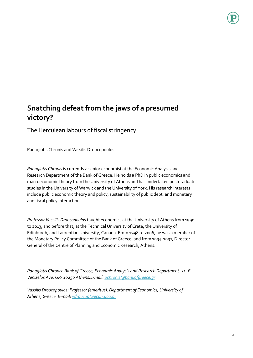## **Snatching defeat from the jaws of a presumed victory?**

The Herculean labours of fiscal stringency

Panagiotis Chronis and Vassilis Droucopoulos

*Panagiotis Chronis* is currently a senior economist at the Economic Analysis and Research Department of the Bank of Greece. He holds a PhD in public economics and macroeconomic theory from the University of Athens and has undertaken postgraduate studies in the University of Warwick and the University of York. His research interests include public economic theory and policy, sustainability of public debt, and monetary and fiscal policy interaction.

*Professor Vassilis Droucopoulos* taught economics at the University of Athens from 1990 to 2013, and before that, at the Technical University of Crete, the University of Edinburgh, and Laurentian University, Canada. From 1998 to 2006, he was a member of the Monetary Policy Committee of the Bank of Greece, and from 1994-1997, Director General of the Centre of Planning and Economic Research, Athens.

*Panagiotis Chronis: Bank of Greece, Economic Analysis and Research Department. 21, E. Venizelos Ave. GR- 10250 Athens.E-mail[: pchronis@bankofgreece.gr](mailto:pchronis@bankofgreece.gr)*

*Vassilis Droucopoulos: Professor (emeritus), Department of Economics, University of Athens, Greece. E-mail[: vdroucop@econ.uoa.gr](mailto:vdroucop@econ.uoa.gr)*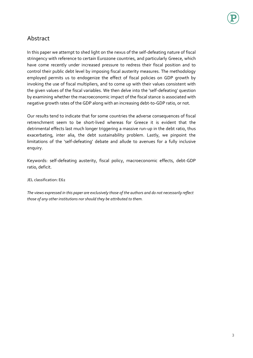### Abstract

In this paper we attempt to shed light on the nexus of the self-defeating nature of fiscal stringency with reference to certain Eurozone countries, and particularly Greece, which have come recently under increased pressure to redress their fiscal position and to control their public debt level by imposing fiscal austerity measures. The methodology employed permits us to endogenize the effect of fiscal policies on GDP growth by invoking the use of fiscal multipliers, and to come up with their values consistent with the given values of the fiscal variables. We then delve into the 'self-defeating' question by examining whether the macroeconomic impact of the fiscal stance is associated with negative growth rates of the GDP along with an increasing debt-to-GDP ratio, or not.

Our results tend to indicate that for some countries the adverse consequences of fiscal retrenchment seem to be short-lived whereas for Greece it is evident that the detrimental effects last much longer triggering a massive run-up in the debt ratio, thus exacerbating, inter alia, the debt sustainability problem. Lastly, we pinpoint the limitations of the 'self-defeating' debate and allude to avenues for a fully inclusive enquiry.

Keywords: self-defeating austerity, fiscal policy, macroeconomic effects, debt-GDP ratio, deficit.

JEL classification: E62

*The views expressed in this paper are exclusively those of the authors and do not necessarily reflect those of any other institutions nor should they be attributed to them.*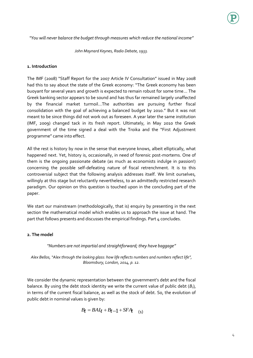*"You will never balance the budget through measures which reduce the national income"*

*John Maynard Keynes, Radio Debate, 1933.*

#### **1. Introduction**

The IMF (2008) "Staff Report for the 2007 Article IV Consultation" issued in May 2008 had this to say about the state of the Greek economy: "The Greek economy has been buoyant for several years and growth is expected to remain robust for some time… The Greek banking sector appears to be sound and has thus far remained largely unaffected by the financial market turmoil…The authorities are pursuing further fiscal consolidation with the goal of achieving a balanced budget by 2010." But it was not meant to be since things did not work out as foreseen. A year later the same institution (IMF, 2009) changed tack in its fresh report. Ultimately, in May 2010 the Greek government of the time signed a deal with the Troika and the "First Adjustment programme" came into effect.

All the rest is history by now in the sense that everyone knows, albeit elliptically, what happened next. Yet, history is, occasionally, in need of forensic post-mortems. One of them is the ongoing passionate debate (as much as economists indulge in passion!) concerning the possible self-defeating nature of fiscal retrenchment. It is to this controversial subject that the following analysis addresses itself. We limit ourselves, willingly at this stage but reluctantly nevertheless, to an admittedly restricted research paradigm. Our opinion on this question is touched upon in the concluding part of the paper.

We start our mainstream (methodologically, that is) enquiry by presenting in the next section the mathematical model which enables us to approach the issue at hand. The part that follows presents and discusses the empirical findings. Part 4 concludes.

#### **2. The model**

#### *"Numbers are not impartial and straightforward; they have baggage"*

*Alex Bellos, "Alex through the looking glass: how life reflects numbers and numbers reflect life", Bloomsbury, London, 2014, p. 12.*

We consider the dynamic representation between the government's debt and the fiscal balance. By using the debt stock identity we write the current value of public debt (*Bt*), in terms of the current fiscal balance, as well as the stock of debt. So, the evolution of public debt in nominal values is given by:

$$
B_t = BAI_t + B_t - 1 + SFA_{t(1)}
$$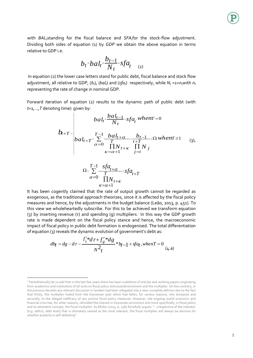with *BALt*standing for the fiscal balance and *SFAt*for the stock-flow adjustment. Dividing both sides of equation (1) by *GDP* we obtain the above equation in terms relative to GDP i.e.

$$
b_t = bal_t + \frac{b_{t-1}}{N_t} * sfa_t \quad (2)
$$

In equation (2) the lower case letters stand for public debt, fiscal balance and stock flow adjustment, all relative to GDP,  $(b_t)$ ,  $(b_d)_t$  and  $(sfa_t)$  respectively, while  $N_t = 1 + n_t$  with  $n_t$ representing the rate of change in nominal GDP.

Forward iteration of equation (2) results to the dynamic path of public debt (with *t=1,…,T* denoting time) given by:

$$
b_{t+T} = \begin{cases} ba l_t + \frac{bal_{t-1}}{N_t} + sfa_t \text{ when } t = 0\\ ba l_{t+T} + \sum_{\alpha=0}^{T-1} \frac{bal_{t+\alpha}}{T} + \frac{b_{t-1}}{t+T} + \Omega \text{ when } t \ge 1\\ \sum_{\kappa=\alpha+1}^{T-1} \frac{bal_{t+\kappa}}{T} + \prod_{j=t}^{T-1} N_j \end{cases} \tag{3}
$$

$$
\Omega = \sum_{\alpha=0}^{T-1} \frac{sfa_{t+\alpha}}{T} + sfa_{t+T}
$$
  

$$
\frac{\alpha=0}{\sum_{\kappa=\alpha+1}^{T-1} sfa_{t+\kappa}}
$$

It has been cogently claimed that the rate of output growth cannot be regarded as exogenous, as the traditional approach theorizes, since it is affected by the fiscal policy measures and hence, by the adjustments in the budget balance (Leão, 2013, p. 451). To this view we wholeheartedly subscribe. For this to be achieved we transform equation (3) by inserting revenue (τ) and spending (g) multipliers.<sup>1</sup> In this way the GDP growth rate is made dependent on the fiscal policy stance and hence, the macroeconomic impact of fiscal policy in public debt formation is endogenised. The total differentiation

of equation (3) reveals the dynamic evolution of government's debt as:  
\n
$$
db_t = dg - d\tau - \frac{f'_t * d\tau + f'_g * dg}{N^2 t} * b_{t-1} + sfa_t, when T = 0
$$
\n(4. a)

 $\overline{a}$ 

<sup>&</sup>lt;sup>1</sup> Parenthetically let us add that in the last few years there has been a plethora of articles and working papers originating from academics and institutions of all sorts on fiscal policy stimulus/retrenchment and the multiplier. On the contrary, in the previous decades any relevant discussion in tandem had been relegated into a near-complete oblivion due to the fact that firstly, the multiplier hailed from the Keynesian past which had fallen, for various reasons, into disrepute and secondly, to the alleged inefficacy of any activist fiscal policy measures. However, the ongoing world economic and financial crisis has, for other reasons, rekindled the interest in Keynesian economics and more specifically, in fiscal policy and its attendant concept, the fiscal multiplier. As MüIler (2014, p. 256) forcefully argues: "…irrespective of the indicator [e.g. deficit, debt level] that is ultimately viewed as the most relevant, the fiscal multiplier will always be decisive for whether austerity is self-defeating".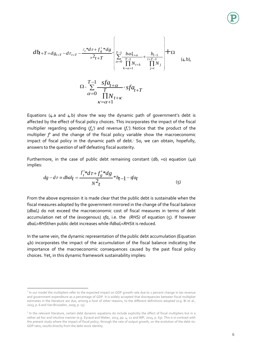$$
db_{t+T=dg_{t+T}-d\tau_{t+T}-\frac{f'_{t}*d\tau+f'_{g}*dg}{N^{2}t+T}\left[\sum_{\alpha=0}^{T-1}\frac{bal_{t+\alpha}}{\prod_{k=\alpha+1}^{T-1}l_{k}}+\frac{b_{t-1}}{\prod_{j=t}^{T-1}l_{j}}\right]+ \Omega
$$
\n
$$
\Omega = \sum_{\alpha=0}^{T-1}\frac{sf_{t+\alpha}}{\prod_{k=\alpha+1}^{T-1}l_{k}}+sf_{t+T}
$$
\n
$$
\alpha=0 \frac{\prod_{k=\alpha+1}^{T-1}l_{k}}{\prod_{k=\alpha+1}^{T-1}l_{k}}+ \sum_{\alpha=0}^{T-1}\frac{cl_{t+\alpha}}{\prod_{k=\alpha+1}^{T-1}l_{k}}.
$$
\n(4.5)

Equations (4.a and 4.b) show the way the dynamic path of government's debt is affected by the effect of fiscal policy choices. This incorporates the impact of the fiscal multiplier regarding spending (*fg')* and revenue (*f<sup>τ</sup> ')*. <sup>2</sup>Notice that the product of the multiplier *f'* and the change of the fiscal policy variable show the macroeconomic impact of fiscal policy in the dynamic path of debt.<sup>3</sup> So, we can obtain, hopefully, answers to the question of self defeating fiscal austerity.

Furthermore, in the case of public debt remaining constant  $(db<sub>t</sub> = 0)$  equation  $(Aa)$ implies:

$$
dg - d\tau = dbal_t = \frac{f'_t * d\tau + f'_g * dg}{N^2 t} * b_{t-1} - sfa_t
$$
\n(5)

From the above expression it is made clear that the public debt is sustainable when the fiscal measures adopted by the government mirrored in the change of the fiscal balance (*dbalt*) do not exceed the macroeconomic cost of fiscal measures in terms of debt accumulation net of the (exogenous) *sfa*, i.e. the *(RHS)* of equation (5). If however *dbalt>RHS*then public debt increases while if*dbalt<RHS*it is reduced*.*

In the same vein, the dynamic representation of the public debt accumulation (Equation 4b) incorporates the impact of the accumulation of the fiscal balance indicating the importance of the macroeconomic consequences caused by the past fiscal policy choices. Yet, in this dynamic framework sustainability implies:

 $\overline{a}$ 

<sup>&</sup>lt;sup>2</sup> In our model the multipliers refer to the expected impact on GDP growth rate due to 1 percent change in tax revenue and government expenditure as a percentage of GDP. It is widely accepted that discrepancies between fiscal multiplier estimates in the literature are due, among a host of other reasons, to the different definitions adopted (e.g. Bi et al., 2013, p. 6 and Van Brusselen, 2009, p. 13).

<sup>&</sup>lt;sup>3</sup> In the relevant literature, certain debt dynamic equations do include explicitly the effect of fiscal multipliers but in a rather *ad hoc* and intuitive manner (e.g. Eyraud and Weber, 2013, pp. 4, 22 and IMF, 2015, p. 63). This is in contrast with the present study where the impact of fiscal policy, through the rate of output growth, on the evolution of the debt-to-GDP ratio, results directly from the debt stock identity.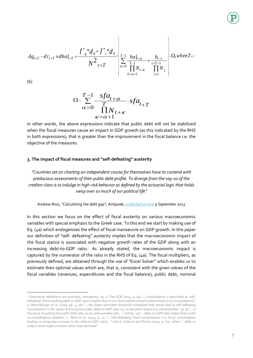$$
dg_{t+T} - d\tau_{t+T} \equiv dbal_{t+T} = \frac{f'_{g} * d_g + f'_{\tau} * d_g}{N^2 t + T} \times \begin{bmatrix} T-1 & baI_{t+\alpha} & b_{t-1} \\ \sum_{\alpha=0}^{T-1} \frac{baI_{t+\alpha}}{\prod_{k=\alpha+1}^{T-1} N_{t+k}} + \frac{b_{t-1}}{\prod_{j=t}^{T-1} N_j} \end{bmatrix} + \Omega, \text{when } T \ge 1
$$

(6)

$$
\Omega = \sum_{\alpha=0}^{T-1} \frac{sf\alpha_{t+\alpha}}{\prod_{\kappa=\alpha+1}^{T} N_{t+\kappa}} - sf\alpha_{t+T}
$$

In other words, the above expressions indicate that public debt will not be stabilized when the fiscal measures cause an impact in GDP growth (as this indicated by the RHS in both expressions), that is greater than the improvement in the fiscal balance i.e. the objective of the measures.

#### **3. The impact of fiscal measures and "self-defeating" austerity**

*"Countries set on charting an independent course for themselves have to contend with predacious assessments of their public debt profile. To diverge from the say-so of the creditor class is to indulge in high-risk behavior as defined by the actuarial logic that holds sway over so much of our political life"*

#### *Andrew Ross, "Calculating the debt gap", Antipode, [published on line](http://onlinelibrary.wiley.com/doi/10.1111/anti.12184/abstract) 9 September 2015*

In this section we focus on the effect of fiscal austerity on various macroeconomic variables with special emphasis to the Greek case. To this end we start by making use of Eq. (4a) which endogenizes the effect of fiscal manoeuvre on GDP growth. In this paper our definition of "self- defeating" austerity implies that the macroeconomic impact of the fiscal stance is associated with negative growth rates of the GDP along with an increasing debt-to-GDP ratio.<sup>4</sup> As already stated, the macroeconomic impact is captured by the numerator of the ratio in the RHS of Eq. (4a). The fiscal multipliers, as previously defined, are obtained through the use of "Excel Solver" which enables us to estimate their optimal values which are, that is, consistent with the given values of the fiscal variables (revenues, expenditures and the fiscal balance), public debt, nominal

 $\overline{a}$ 4 Alternative definitions are provided, indicatively, by: a. The ECB (2014, p. 84): « Consolidation is described as 'selfdefeating' if the resulting debt-to-GDP ratio is higher than it is in the baseline scenario (where there is no consolidation)", b. Warmedinger et al. (2015, pp. 4, 16): "…the paper estimates threshold multipliers that would lead to self-defeating consolidation in the sense of driving the public debt-to-GDP ratio up, to the point where it is unsustainable", (p. 6) "…in the sense of putting the public debt ratio on an unfavourable path,…" and (p. 19) "…debt-to-GDP ratio higher than in the no-consolidation baseline", c. Berti et al. (2013, p. 2): "…'self-defeating' fiscal consolidation (i.e. fiscal consolidation leading to *temporary* increase in the debt-to-GDP ratio)…" and d. Holland and Portes (2015, p. F4): when "…debt to output ratios might increase rather than decrease".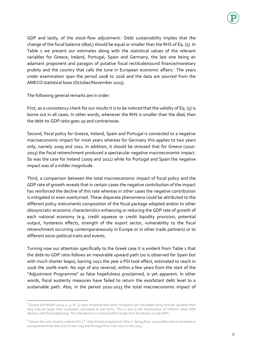GDP and lastly, of the stock-flow adjustment.<sup>5</sup> Debt sustainability implies that the change of the fiscal balance (dbal<sub>t</sub>) should be equal or smaller than the RHS of Eq. (5). In Table 1 we present our estimates along with the statistical values of the relevant variables for Greece, Ireland, Portugal, Spain and Germany, the last one being an adamant proponent and paragon of putative fiscal rectitude/sound finance/monetary probity and the country that calls the tune in European economic affairs.<sup>6</sup> The years under examination span the period 2008 to 2016 and the data are sourced from the AMECO statistical base (October/November 2015).

The following general remarks are in order:

 $\overline{a}$ 

First, as a consistency check for our results it is to be noticed that the validity of Eq. (5) is borne out in all cases. In other words, whenever the RHS is smaller than the dbal, then the debt-to-GDP ratio goes up and contrariwise.

Second, fiscal policy for Greece, Ireland, Spain and Portugal is connected to a negative macroeconomic impact for most years whereas for Germany this applies to two years only, namely 2009 and 2011. In addition, it should be stressed that for Greece (2010- 2013) the fiscal retrenchment produced a spectacular negative macroeconomic impact. So was the case for Ireland (2009 and 2011) while for Portugal and Spain the negative impact was of a milder magnitude.

Third, a comparison between the total macroeconomic impact of fiscal policy and the GDP rate of growth reveals that in certain cases the negative contribution of the impact has reinforced the decline of this rate whereas in other cases the negative contribution is mitigated or even overturned. These disparate phenomena could be attributed to the different policy instruments composition of the fiscal package adopted and/or to other idiosyncratic economic characteristics enhancing or reducing the GDP rate of growth of each national economy (e.g. credit squeeze or credit liquidity provision, potential output, hysteresis effects, strength of the export sector, vulnerability to the fiscal retrenchment occurring contemporaneously in Europe or in other trade partners) or to different socio-political traits and events.

Turning now our attention specifically to the Greek case it is evident from Table 1 that the debt-to-GDP ratio follows an inexorable upward path (so is observed for Spain but with much shorter leaps), barring 2012 the year a PSI took effect, estimated to reach in 2016 the 200% mark. No sign of any reversal, within a few years from the start of the "Adjustment Programme" as false hopefulness proclaimed, is yet apparent. In other words, fiscal austerity measures have failed to return the exorbitant debt level to a sustainable path. Also, in the period 2010-2013 the total macroeconomic impact of

<sup>&</sup>lt;sup>5</sup> Eyraud and Weber (2013, p. 4, fn. 5) have remarked that when multipliers are calculated using nominal variables then they may be larger than multipliers calculated in real terms. This is due to the deceleration of inflation when GDP declines with fiscal tightening: "thus the decline in nominal GDP is larger than the decline in real GDP".

 $^6$  Greece has only recently entered the 3<sup>rd</sup> "Adjustment programme" (the 1st dating from 2010) while Ireland remained in a programme from late 2010 to late 2013 and Portugal from mid-2011 to mid-2014.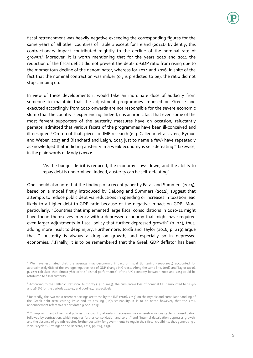

fiscal retrenchment was heavily negative exceeding the corresponding figures for the same years of all other countries of Table 1 except for Ireland (2011).<sup>7</sup> Evidently, this contractionary impact contributed mightily to the decline of the nominal rate of growth.<sup>8</sup> Moreover, it is worth mentioning that for the years 2010 and 2011 the reduction of the fiscal deficit did not prevent the debt-to-GDP ratio from rising due to the momentous decline of the denominator, whereas for 2014 and 2016, in spite of the fact that the nominal contraction was milder (or, is predicted to be), the ratio did not stop climbing up.

In view of these developments it would take an inordinate dose of audacity from someone to maintain that the adjustment programmes imposed on Greece and executed accordingly from 2010 onwards are not responsible for the severe economic slump that the country is experiencing. Indeed, it is an ironic fact that even some of the most fervent supporters of the austerity measures have on occasion, reluctantly perhaps, admitted that various facets of the programmes have been ill-conceived and ill-designed.<sup>9</sup> On top of that, pieces of IMF research (e.g. Callegari et al., 2012, Eyraud and Weber, 2013 and Blanchard and Leigh, 2013 just to name a few) have repeatedly acknowledged that inflicting austerity in a weak economy is self-defeating.<sup>10</sup> Likewise, in the plain words of Mody (2015):

"As the budget deficit is reduced, the economy slows down, and the ability to repay debt is undermined. Indeed, austerity can be self-defeating".

One should also note that the findings of a recent paper by Fatas and Summers (2015), based on a model firstly introduced by DeLong and Summers (2012), suggest that attempts to reduce public debt via reductions in spending or increases in taxation lead likely to a higher debt-to-GDP ratio because of the negative impact on GDP. More particularly: "Countries that implemented large fiscal consolidations in 2010-11 might have found themselves in 2012 with a depressed economy that might have required even larger adjustments in fiscal policy that further depressed growth" (p. 24), thus, adding more insult to deep injury. Furthermore, Jordà and Taylor (2016, p. 219) argue that "…austerity is always a drag on growth, and especially so in depressed economies…".Finally, it is to be remembered that the Greek GDP deflator has been

 $\overline{\phantom{a}}$ 

<sup>&</sup>lt;sup>7</sup> We have estimated that the average macroeconomic impact of fiscal tightening (2010-2015) accounted for approximately 68% of the average negative rate of GDP change in Greece. Along the same line, Jordà and Taylor (2016, p. 247) calculate that almost 78% of the "dismal performance" of the UK economy between 2007 and 2013 could be attributed to fiscal austerity.

<sup>&</sup>lt;sup>8</sup> According to the Hellenic Statistical Authority (13.10.2015), the cumulative loss of nominal GDP amounted to 21.4% and 26.6% for the periods 2010-14 and 2008-14, respectively.

<sup>&</sup>lt;sup>9</sup> Relatedly, the two most recent reportings are those by the IMF (2016, 2015) on the myopic and compliant handling of the Greek debt restructuring issue and its ensuing (un)sustainability. It is to be noted however, that the 2016 announcement refers to a report dated 9 April 2015.

<sup>&</sup>lt;sup>10</sup> "...imposing restrictive fiscal policies to a country already in recession may unleash a vicious cycle of consolidation followed by contraction, which requires further consolidation and so on." and "Internal devaluation depresses growth, and the absence of growth requires further austerity for governments to regain their fiscal credibility, thus generating a vicious cycle." (Armingeon and Baccaro, 2012, pp. 269, 275).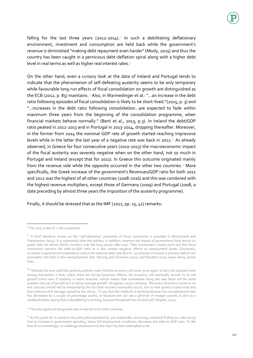falling for the last three years (2012-2014).<sup>11</sup> In such a debilitating deflationary environment, investment and consumption are held back while the government's revenue is diminished "making debt repayment even harder" (Mody, 2015) and thus the country has been caught in a pernicious debt-deflation spiral along with a higher debt level in real terms as well as higher real interest rates.<sup>12</sup>

On the other hand, even a cursory look at the data of Ireland and Portugal tends to indicate that the phenomenon of self-defeating austerity seems to be only temporary while favourable long-run effects of fiscal consolidation on growth are distinguished as the ECB (2012, p. 85) maintains.<sup>13</sup> Also, in Warmedinger et al.: "...an increase in the debt ratio following episodes of fiscal consolidation is likely to be short-lived."(2015, p. 3) and "...increases in the debt ratio following consolidation…are expected to fade within maximum three years from the beginning of the consolidation programme, when financial markets behave normally." (Berti et al., 2013, p.3). In Ireland the debt/GDP ratio peaked in 2012-2013 and in Portugal in 2013-2014, dropping thereafter. Moreover, in the former from 2014 the nominal GDP rate of growth started reaching impressive levels while in the latter the last year of a negative rate was back in 2012.<sup>14</sup> As already observed, in Greece for four consecutive years (2010-2013) the macroeconomic impact of the fiscal austerity was severely negative when on the other hand, not so much in Portugal and Ireland (except that for 2011). In Greece this outcome originated mainly from the revenue side while the opposite occurred in the other two countries.<sup>15</sup> More specifically, the Greek increase of the government's Revenues/GDP ratio for both 2011 and 2012 was the highest of all other countries (2008-2016) and this was combined with the highest revenue multipliers, except those of Germany (2009) and Portugal (2008, a date preceding by almost three years the imposition of the austerity programme).

Finally, it should be stressed that as the IMF (2012, pp. 15, 41) remarks:

 $\overline{a}$  $11$  For 2015 a rate of  $-1.1\%$  is expected.

<sup>&</sup>lt;sup>12</sup> A brief literature review on the "self-defeating" properties of fiscal contraction is provided in McCausland and Theodossiou (2014). It is noteworthy that the authors, in addition, examine the impact of government fiscal stance on public debt for eleven OECD countries over the long period 1881-2011. Their econometric results point out that fiscal contraction worsens the debt-to-GDP ratio as it also creates negative effects on employment levels. Conversely, increases in government expenditure reduce the national debt (see also fn. 15) whereas increases in primary deficits are associated with falls in the unemployment rate. DeLong and Summers (2012) and Rendahl (2014) argue along similar lines.

<sup>&</sup>lt;sup>13</sup> "Nobody has ever said that austerity policies mean that the economy will never grow again. In fact, the standard view among Keynesians is that, unless there are strong hysteresis effects, the economy will eventually recover to its old growth trend even if austerity is never reversed –which means that somewhere along the way there will be some quarters not just of growth but of above-average growth" (Krugman, 2013). Likewise, "But every downturn comes to an end. Success should not be measured by the fact that recovery eventually occurs, but by how quickly it takes hold and how extensive the damage caused by the slump…To say that the medicine is working because the unemployment rate has decreased by a couple of percentage points, or because one can see a glimmer of meager growth, is akin to a medieval barber saying that a bloodletting is working, because the patient has not died yet" (Stiglitz, 2014).

<sup>&</sup>lt;sup>14</sup> This also applies to the growth rate in real terms for both countries.

<sup>&</sup>lt;sup>15</sup> At this point let us mention the *prima facie* paradoxical, yet analytically convincing, empirical finding by Leão (2013) that an increase in government spending, below full employment conditions, decreases the debt-to-GDP ratio. To the best of our knowledge, no challenge whatsoever to this claim has been attempted so far.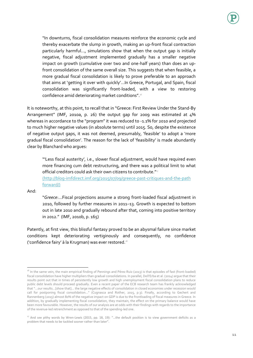

"In downturns, fiscal consolidation measures reinforce the economic cycle and thereby exacerbate the slump in growth, making an up-front fiscal contraction particularly harmful…, simulations show that when the output gap is initially negative, fiscal adjustment implemented gradually has a smaller negative impact on growth (cumulative over two and one-half years) than does an upfront consolidation of the same overall size. This suggests that when feasible, a more gradual fiscal consolidation is likely to prove preferable to an approach that aims at 'getting it over with quickly'…In Greece, Portugal, and Spain, fiscal consolidation was significantly front-loaded, with a view to restoring confidence amid deteriorating market conditions". $\cdot$ 

It is noteworthy, at this point, to recall that in "Greece: First Review Under the Stand-By Arrangement" (IMF, 2010a, p. 26) the output gap for 2009 was estimated at 4% whereas in accordance to the "program" it was reduced to -1.1% for 2010 and projected to much higher negative values (in absolute terms) until 2015. So, despite the existence of negative output gaps, it was not deemed, presumably, 'feasible' to adopt a 'more gradual fiscal consolidation'. The reason for the lack of 'feasibility' is made abundantly clear by Blanchard who argues:

"'Less fiscal austerity', i.e., slower fiscal adjustment, would have required even more financing cum debt restructuring, and there was a political limit to what official creditors could ask their own citizens to contribute. $\frac{m_{17}}{2}$ 

[\(http://blog-imfdirect.imf.org/2015/07/09/greece-past-critiques-and-the-path](file:///C:/Users/Jeremy/Downloads/(http:/blog-imfdirect.imf.org/2015/07/09/greece-past-critiques-and-the-path%20forward/))  [forward/\)](file:///C:/Users/Jeremy/Downloads/(http:/blog-imfdirect.imf.org/2015/07/09/greece-past-critiques-and-the-path%20forward/))

And:

"*Greece*:…Fiscal projections assume a strong front-loaded fiscal adjustment in 2010, followed by further measures in 2011–13. Growth is expected to bottom out in late 2010 and gradually rebound after that, coming into positive territory in 2012." (IMF, 2010b, p. 165)

Patently, at first view, this blissful fantasy proved to be an abysmal failure since market conditions kept deteriorating vertiginously and consequently, no confidence ('confidence fairy' à la Krugman) was ever restored.<sup>18</sup>

 $\overline{a}$ <sup>16</sup> In the same vein, the main empirical finding of Pennings and Pérez Ruiz (2013) is that episodes of fast (front-loaded) fiscal consolidation have higher multipliers than gradual consolidations. In parallel, Dell'Erba et al. (2014) argue that their results point out that in times of persistently low growth and high unemployment fiscal consolidation plans to reduce public debt levels should proceed gradually. Even a recent paper of the ECB research team has frankly acknowledged that "…our results…[show that]… the large negative effects of consolidation in closed economies under recession would call for postponing fiscal consolidation…" (Cugnasca and Rother, 2015, p.3). Finally, according to Gechert and Rannenberg (2015) almost 80% of the negative impact on GDP is due to the frontloading of fiscal measures in Greece. In addition, by gradually implementing fiscal consolidation, they maintain, the effect on the primary balance would have been more favourable. However, the results of our analysis are at odds with their findings with regards to the importance of the revenue-led retrenchment as opposed to that of the spending-led one.

 $17$  And see pithy words by Wren-Lewis (2015, pp. 18, 19): "...the default position is to view government deficits as a problem that needs to be tackled sooner rather than later".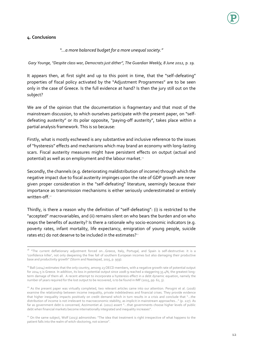#### **4. Conclusions**

 $\overline{\phantom{a}}$ 

*"…a more balanced budget for a more unequal society."* 

*Gary Younge, "Despite class war, Democrats just dither", The Guardian Weekly, 8 June 2012,* p*. 19.*

It appears then, at first sight and up to this point in time, that the "self-defeating" properties of fiscal policy activated by the "Adjustment Programmes" are to be seen only in the case of Greece. Is the full evidence at hand? Is then the jury still out on the subject?

We are of the opinion that the documentation is fragmentary and that most of the mainstream discussion, to which ourselves participate with the present paper, on "selfdefeating austerity" or its polar opposite, "paying-off austerity", takes place within a partial analysis framework. This is so because:

Firstly, what is mostly eschewed is any substantive and inclusive reference to the issues of "hysteresis" effects and mechanisms which may brand an economy with long-lasting scars. Fiscal austerity measures might have persistent effects on output (actual and potential) as well as on employment and the labour market.<sup>19</sup>

Secondly, the channels (e.g. deteriorating maldistribution of income) through which the negative impact due to fiscal austerity impinges upon the rate of GDP growth are never given proper consideration in the "self-defeating" literature, seemingly because their importance as transmission mechanisms is either seriously underestimated or entirely written-off.<sup>20</sup>

Thirdly, is there a reason why the definition of "self-defeating": (i) is restricted to the "accepted" macrovariables, and (ii) remains silent on who bears the burden and on who reaps the benefits of austerity? Is there a rationale why socio-economic indicators (e.g. poverty rates, infant mortality, life expectancy, emigration of young people, suicide rates etc) do not deserve to be included in the estimates? $24$ 

<sup>&</sup>lt;sup>18</sup> "The current deflationary adjustment forced on...Greece, Italy, Portugal, and Spain is self-destructive: it is a 'confidence killer', not only deepening the free fall of southern European incomes but also damaging their productive base and productivity growth" (Storm and Naastepad, 2015, p. 959).

<sup>&</sup>lt;sup>19</sup> Ball (2014) estimates that the only country, among 23 OECD members, with a negative growth rate of potential output for 2014-5 is Greece. In addition, its loss in potential output since 2008-9 reached a staggering 35.4%, the greatest longterm damage of them all. A recent attempt to incorporate a hysteresis effect in a debt dynamic equation, namely the number of years required for the lost output to be recovered, is to be found in IMF (2015, pp. 62, 3).

<sup>&</sup>lt;sup>20</sup> As the present paper was virtually completed, two relevant articles came into our attention. Perugini et al. (2016) examine the relationship between income inequality, private indebtedness and financial crises. They provide evidence that higher inequality impacts positively on credit demand which in turn results in a crisis and conclude that "…the distribution of income is not irrelevant to macroeconomic stability, as implicit in mainstream approaches…" (p. 227). As far as government debt is concerned, Azzimontiet al. (2012) assert "…that governments choose higher levels of public debt when financial markets become internationally integrated and inequality increases".

<sup>&</sup>lt;sup>21</sup> On the same subject, Wolf (2013) admonishes: "The idea that treatment is right irrespective of what happens to the patient falls into the realm of witch-doctoring, not science".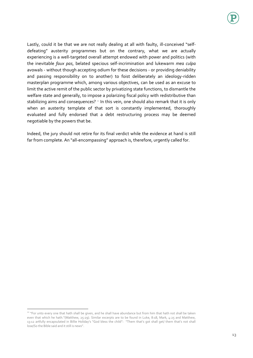Lastly, could it be that we are not really dealing at all with faulty, ill-conceived "selfdefeating" austerity programmes but on the contrary, what we are actually experiencing is a well-targeted overall attempt endowed with power and politics (with the inevitable *faux pas*, belated specious self-incrimination and lukewarm *mea culpa* avowals - without though accepting odium for these decisions - or providing deniability and passing responsibility on to another) to foist deliberately an ideology-ridden masterplan programme which, among various objectives, can be used as an excuse to limit the active remit of the public sector by privatizing state functions, to dismantle the welfare state and generally, to impose a polarizing fiscal policy with redistributive than stabilizing aims and consequences?  $22$  In this vein, one should also remark that it is only when an austerity template of that sort is constantly implemented, thoroughly evaluated and fully endorsed that a debt restructuring process may be deemed negotiable by the powers that be.

Indeed, the jury should not retire for its final verdict while the evidence at hand is still far from complete. An "all-encompassing" approach is, therefore, urgently called for.

 $\overline{a}$ 

<sup>&</sup>lt;sup>22</sup> "For unto every one that hath shall be given, and he shall have abundance but from him that hath not shall be taken even that which he hath."(Matthew, 25:29). Similar excerpts are to be found in Luke, 8:18, Mark, 4:25 and Matthew, 13:12 artfully encapsulated in Billie Holiday's "God bless the child": "Them that's got shall get/ them that's not shall lose/So the Bible said and it still is news".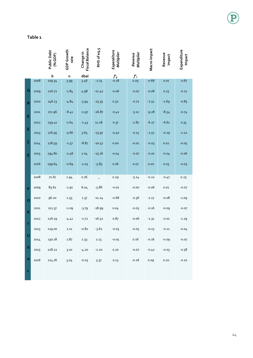|              |      | Public Debt<br>(% GDP) | GDP Growth<br>rate | Fiscal Balance<br>Change in | RHS of eq.5 | Expenditure<br>Multiplier | Multiplier<br>Revenue | Macro impact | Revenue<br>impact | Expenditure<br>Impact |
|--------------|------|------------------------|--------------------|-----------------------------|-------------|---------------------------|-----------------------|--------------|-------------------|-----------------------|
|              |      | $\mathbf b$            | n                  | dbal                        |             | $f_q$                     | $f_\tau'$             |              |                   |                       |
|              | 2008 | 109.34                 | 3.99               | 3.46                        | $-2.74$     | $-0.18$                   | 0.05                  | $-0.66$      | 0.01              | $-0.67$               |
| G            | 2009 | 126.72                 | $-1.84$            | 4.98                        | $-12.42$    | $-0.06$                   | $-0.07$               | $-0.08$      | 0.13              | $-0.21$               |
| $\mathsf R$  | 2010 | 146.13                 | $-4.84$            | $-3.94$                     | $-23.35$    | 0.52                      | $-0.72$               | $-2.51$      | $-1.69$           | $-0.83$               |
| E            | 2011 | 171.96                 | $-8.41$            | $-0.97$                     | $-26.87$    | $-0.42$                   | $-3.12$               | $-9.28$      | $-8.54$           | $-0.74$               |
|              | 2012 | 159.41                 | $-7.64$            | $-1.43$                     | 11.18       | 0.37                      | $-2.81$               | $-6.27$      | $-6.61$           | 0.35                  |
| Е            | 2013 | 176.95                 | $-5.66$            | 3.63                        | $-13.97$    | $-0.40$                   | $-0.15$               | $-2.51$      | $-0.29$           | $-2.22$               |
| C            | 2014 | 178.59                 | $-1.57$            | $-8.87$                     | $-10.47$    | 0.00                      | $-0.01$               | $-0.03$      | 0.02              | $-0.05$               |
| E            | 2015 | 194.80                 | -2.48              | 1.04                        | -15.16      | $-0.04$                   | $-0.07$               | $-0.10$      | $-0.04$           | $-0.06$               |
|              | 2016 | 199.64                 | $-0.69$            | $-1.03$                     | $-5.83$     | 0.06                      | 0.07                  | 0.00         | 0.03              | $-0.03$               |
|              | 2008 | 71.67                  | 1.94               | 0.76                        |             | 0.29                      | $-5.14$               | $-0.22$      | $-0.47$           | 0.25                  |
| P            | 2009 | 83.61                  | $-1.91$            | 6.04                        | $-5.86$     | $-0.01$                   | $-0.00$               | $-0.06$      | 0.01              | $-0.07$               |
| $\mathbf 0$  | 2010 | 96.20                  | 2.55               | 1.37                        | $-11.24$    | $-0.68$                   | $-0.36$               | $-1.17$      | $-0.08$           | $-1.09$               |
| $\mathsf{R}$ | 2011 | 111.37                 | $-2.09$            | $-3.79$                     | $-18.99$    | 0.04                      | $-0.05$               | $-0.16$      | $-0.09$           | $-0.07$               |
|              | 2012 | 126.19                 | $-4.41$            | $-1.72$                     | $-16.52$    | 0.87                      | $-0.06$               | $-1.31$      | $-0.01$           | $-1.29$               |
| т            | 2013 | 129.00                 | 1.11               | $-0.82$                     | $-3.62$     | $-0.03$                   | $-0.05$               | $-0.15$      | $-0.11$           | $-0.04$               |
| U            | 2014 | 130.18                 | 1.87               | 2.33                        | 1.13        | $-0.05$                   | 0.16                  | $-0.16$      | -0.09             | $-0.07$               |
| G            | 2015 | 128.22                 | 3.10               | $-4.20$                     | $-2.20$     | 0.10                      | $-0.07$               | $-0.42$      | $-0.03$           | $-0.38$               |
| A            | 2016 | 124.76                 | 3.04               | $-0.03$                     | 3.37        | 0.13                      | $-0.26$               | 0.09         | 0.20              | $-0.10$               |
| L            |      |                        |                    |                             |             |                           |                       |              |                   |                       |

#### **Table 1**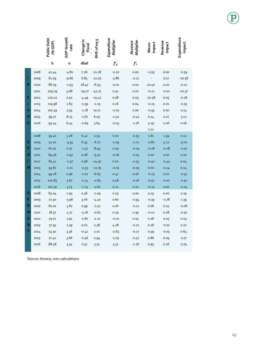|   |              | Public Debt<br>(% GDP) | <b>GDP Growth</b><br>rate | Change in<br>Fiscal | RHS of eq.5        | Expenditure<br>Multiplier | Revenue<br>Multiplier | impact<br>Macro | Revenue<br>impact | Expenditure<br>Impact |
|---|--------------|------------------------|---------------------------|---------------------|--------------------|---------------------------|-----------------------|-----------------|-------------------|-----------------------|
|   |              | b                      | n                         | dbal                |                    | $f_g'$                    | $f_{\tau}'$           |                 |                   |                       |
|   | 2008         | 42.44                  | $-4.82$                   | 7.26                | $-11.28$           | $-0.10$                   | 0.00                  | $-0.59$         | 0.00              | $-0.59$               |
| T | 2009         | 61.79                  | $-9.66$                   | 6.85                | $-12.50$           | $-3.86$                   | $-0.11$               |                 | 0.17              | -20.56                |
| R | 2010         | 86.79                  | $-1.93$                   | 18.47               | $-6.53$            | $-0.01$                   | 0.00                  | 20.40           | 0.00              | $-0.21$               |
|   | 2011         | 109.29                 | 4.68                      | $-19.77$            | $-42.27$           | 0.52                      | 0.02                  | $-0.21$         | $-0.01$           | $-10.57$              |
| Е | 2012         | 120.22                 | 0.52                      | $-4.49$             | $-15.42$           | 0.08                      | 0.03                  | $-10.58$        | 0.03              | $-0.28$               |
| L | 2013         | 119.98                 | 2.63                      | $-2.39$             | $-2.15$            | 0.26                      | 0.04                  | $-0.25$         | 0.01              | $-0.55$               |
| Α | 2014         | 107.49                 | 5.35                      | $-1.78$             | 10.71              | $-0.10$                   | 0.00                  | $-0.55$         | 0.00              | 0.14                  |
| N | 2015         | 99.77                  | 8.15                      | $-1.67$             | 6.05               | $-1.52$                   | $-0.42$               | 0.14            | 0.17              | 3.12                  |
| D | 2016         | 95.44                  | 6.44                      | $-0.69$             | 3.64               | $-0.03$                   | $-1.76$               | 3.29            | 2.06              | 0.06                  |
|   |              |                        |                           |                     |                    |                           |                       | 2.12            |                   |                       |
|   | 2008         | 39.40                  | 3.28                      | 6.42                | 2.53               | 0.10                      | $-0.33$               | 1.61            | 1.39              | 0.22                  |
| S | 2009         | 52.70                  | $-3.33$                   | 6.53                | $-6.77$            | $-1.09$                   | $-2.21$               | $-0.80$         | 4.22              | $-5.02$               |
| P | 2010         | 60.07                  | 0.17                      | $-1.57$             | $-8.94$            | 0.05                      | $-0.19$               | $-0.28$         | $-0.28$           | $-0.01$               |
| А | 2011         | 69.46                  | $-0.97$                   | 0.08                | $-9.31$            | $-0.06$                   | $-0.03$               | 0.00            | 0.00              | 0.00                  |
| п | 2012         | 85.41                  | $-2.57$                   | 0.98                | $-14.97$           | 0.02                      | $-0.33$               | $-0.40$         | $-0.44$           | 0.04                  |
| N | 2013         | 93.67                  | $-1.11$                   | $-3.53$             | $-11.79$           | $-0.05$                   | $-0.19$               | 0.00            | $-0.14$           | 0.14                  |
|   | 2014         | 99.28                  | 0.96                      | $-1.02$             | $-6.63$            | 0.47                      | 0.18                  | $-0.25$         | 0.07              | $-0.31$               |
|   | 2015         | 100.83                 | 3.67                      | $-1.14$             | $-2.69$            | 0.48                      | $-0.16$               | $-0.52$         | $-0.01$           | $-0.51$               |
| G | 2016<br>2008 | 101.30                 | 3.73                      | $-1.15$             | $-1.62$            | 0.21                      | 0.01                  | $-0.25$         | 0.00              | $-0.25$               |
| E |              | 65.04                  | 1.93                      | 0.36                | $-1.09$            | 0.25<br>0.60              | 0.00                  | 0.19            | 0.00              | 0.19                  |
| R | 2009<br>2010 | 72.50<br>81.01         | $-3.96$<br>4.87           | 3.06                | $-4.40$            | 0.26                      | $-2.94$<br>$-0.11$    | $-0.39$<br>0.06 | $-2.78$           | 2.39<br>$-0.08$       |
| М | 2011         | 78.37                  | 4.77                      | 0.99<br>-3.26       | $-7.52$<br>$-0.62$ | 0.19                      | 0.39                  | $-0.22$         | 0.15<br>0.28      | $-0.50$               |
| А | 2012         | 79.71                  |                           | $-0.87$             | $-2.21$            | $-0.10$                   | 0.05                  | 0.06            | 0.03              | 0.03                  |
| N | 2013         | 77.35                  | 1.91<br>2.39              | 0.02                | 2.38               | 4.28                      | $-0.21$               | 0.26            | $-0.01$           | 0.27                  |
| Y | 2014         | 74.92                  | 3.36                      | $-0.42$             | 2.01               | $-2.63$                   | $-0.27$               | 0.59            | $-0.05$           | 0.64                  |
|   | 2015         | 71.42                  | 3.66                      | $-0.56$             | 2.94               | $-1.05$                   | $-0.52$               | 0.86            | 0.09              | 0.77                  |
|   | 2016         | 68.48                  | 3.54                      | 0.37                | 3.31               | 3.32                      | $-1.26$               | 0.95            | 0.16              | 0.79                  |
|   |              |                        |                           |                     |                    |                           |                       |                 |                   |                       |

Source: Ameco, own calculations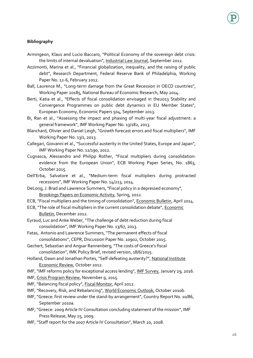#### **Bibliography**

- Armingeon, Klaus and Lucio Baccaro, "Political Economy of the sovereign debt crisis: the limits of internal devaluation", Industrial Law Journal, September 2012.
- Azzimonti, Marina et al., "Financial globalization, inequality, and the raising of public debt", Research Department, Federal Reserve Bank of Philadelphia, Working Paper No. 12-6, February 2012.
- Ball, Laurence M., "Long-term damage from the Great Recession in OECD countries", Working Paper 20185, National Bureau of Economic Research, May 2014.
- Berti, Katia et al., "Effects of fiscal consolidation envisaged in the2013 Stability and Convergence Programmes on public debt dynamics in EU Member States", European Economy, Economic Papers 504, September 2013.
- Bi, Ran et al., "Assessing the impact and phasing of multi-year fiscal adjustment: a general framework", IMF Working Paper No. 13/182, 2013.
- Blanchard, Olivier and Daniel Leigh, "Growth forecast errors and fiscal multipliers", IMF Working Paper No. 13/1, 2013.
- Callegari, Giovanni et al., "Successful austerity in the United States, Europe and Japan", IMF Working Paper No. 12/190, 2012.
- Cugnasca, Alessandro and Philipp Rother, "Fiscal multipliers during consolidation: evidence from the European Union", ECB Working Paper Series, No. 1863, October 2015.
- Dell'Erba, Salvatore et al., "Medium-term fiscal multipliers during protracted recessions", IMF Working Paper No. 14/213, 2014.
- DeLong, J. Brad and Lawrence Summers, "Fiscal policy in a depressed economy", Brookings Papers on Economic Activity, Spring, 2012.
- ECB, "Fiscal multipliers and the timing of consolidation", Economic Bulletin, April 2014.
- ECB, "The role of fiscal multipliers in the current consolidation debate", Economic Bulletin, December 2012.
- Eyraud, Luc and Anke Weber, "The challenge of debt reduction during fiscal consolidation", IMF Working Paper No. 13/67, 2013.
- Fatas, Antonio and Lawrence Summers, "The permanent effects of fiscal consolidations", CEPR, Discussion Paper No. 10902, October 2015.
- Gechert, Sebastian and Angsar Rannenberg, "The costs of Greece's fiscal consolidation", IMK Policy Brief, revised version, 18/6/2015.
- Holland, Dawn and Jonathan Portes, "Self-defeating austerity?", National Institute Economic Review, October 2012.
- IMF, "IMF reforms policy for exceptional access lending", IMF Survey, January 29, 2016.
- IMF, Crisis Program Review, November 9, 2015.
- IMF, "Balancing fiscal policy", Fiscal Monitor, April 2012.
- IMF, "Recovery, Risk, and Rebalancing", World Economic Outlook, October 2010b.
- IMF, "Greece: first review under the stand-by arrangement", Country Report No. 10/86, September 2010a.
- IMF, "Greece: 2009 Article IV Consultation concluding statement of the mission", IMF Press Release, May 25, 2009.
- IMF, "Staff report for the 2007 Article IV Consultation", March 20, 2008.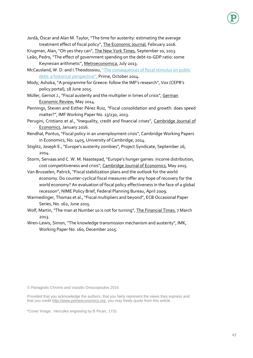- Jordà, Òscar and Alan M. Taylor, "The time for austerity: estimating the average treatment effect of fiscal policy", The Economic Journal, February 2016.
- Krugman, Alan, "Oh yes they can", The New York Times, September 10, 2013.
- Leão, Pedro, "The effect of government spending on the debt-to-GDP ratio: some Keynesian arithmetic", Metroeconomica, July 2013.
- McCausland, W. D. and I.Theodossiou, ["The consequences of fiscal stimulus on](http://static1.squarespace.com/static/541ff5f5e4b02b7c37f31ed6/t/5538ed0de4b01a0f9e18c48d/1429794073737/The+Consequences+of+Fiscal+Stimulus+on+Public+Debt.pdf) public [debt: a historical perspective",](http://static1.squarespace.com/static/541ff5f5e4b02b7c37f31ed6/t/5538ed0de4b01a0f9e18c48d/1429794073737/The+Consequences+of+Fiscal+Stimulus+on+Public+Debt.pdf) Prime, October 2014.
- Mody, Ashoka, "A programme for Greece: follow the IMF's research", Vox (CEPR's policy portal), 18 June 2015.
- Müller, Gernot J., "Fiscal austerity and the multiplier in times of crisis", German Economic Review, May 2014.
- Pennings, Steven and Esther Pérez Ruiz, "Fiscal consolidation and growth: does speed matter?", IMF Working Paper No. 13/230, 2013.
- Perugini, Cristiano et al., "Inequality, credit and financial crises", Cambridge Journal of Economics, January 2016.
- Rendhal, Pontus, "Fiscal policy in an unemployment crisis", Cambridge Working Papers in Economics, No. 1405, University of Cambridge, 2014.
- Stiglitz, Joseph E., "Europe's austerity zombies", Project Syndicate, September 26, 2014.
- Storm, Servaas and C. W. M. Naastepad, "Europe's hunger games: income distribution, cost competitiveness and crisis", Cambridge Journal of Economics, May 2015.
- Van Brusselen, Patrick, "Fiscal stabilization plans and the outlook for the world economy. Do counter-cyclical fiscal measures offer any hope of recovery for the world economy? An evaluation of fiscal policy effectiveness in the face of a global recession", NIME Policy Brief, Federal Planning Bureau, April 2009.
- Warmedinger, Thomas et al., "Fiscal multipliers and beyond", ECB Occasional Paper Series, No. 162, June 2015.
- Wolf, Martin, "The man at Number 10 is not for turning", The Financial Times, 7 March 2013.
- Wren-Lewis, Simon, "The knowledge transmission mechanism and austerity", IMK, Working Paper No. 160, December 2015.

© Panagiotis Chronis and Vassilis Droucopoulos 2016

Provided that you acknowledge the authors, that you fairly represent the views they express and that you credit [http://www.primeeconomics.org,](http://www.primeeconomics.org/) you may freely quote from this article.

\*Cover Image: Hercules engraving by B Picart, 1731